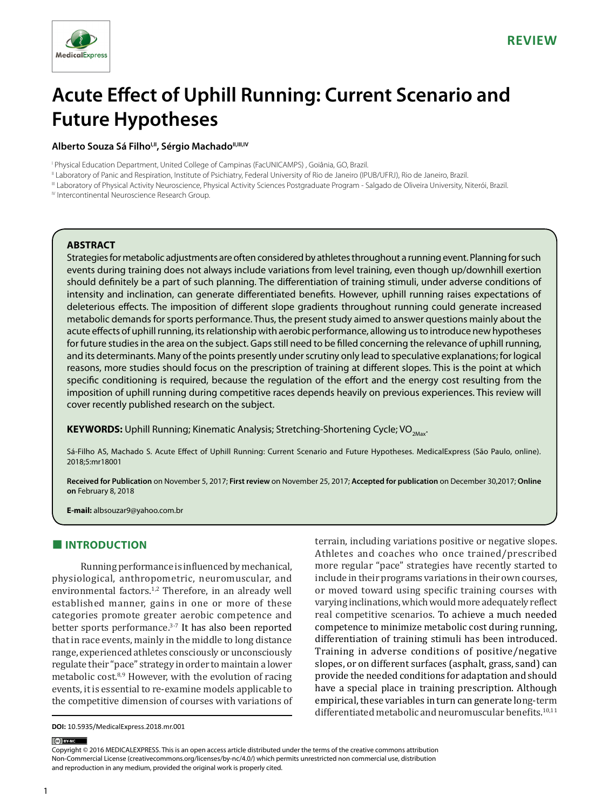

# **Acute Effect of Uphill Running: Current Scenario and Future Hypotheses**

#### Alberto Souza Sá Filho<sup>I,II</sup>, Sérgio Machado<sup>II,III,IV</sup>

I Physical Education Department, United College of Campinas (FacUNICAMPS) , Goiânia, GO, Brazil.

II Laboratory of Panic and Respiration, Institute of Psichiatry, Federal University of Rio de Janeiro (IPUB/UFRJ), Rio de Janeiro, Brazil.

III Laboratory of Physical Activity Neuroscience, Physical Activity Sciences Postgraduate Program - Salgado de Oliveira University, Niterói, Brazil.

IV Intercontinental Neuroscience Research Group.

#### **ABSTRACT**

Strategies for metabolic adjustments are often considered by athletes throughout a running event. Planning for such events during training does not always include variations from level training, even though up/downhill exertion should definitely be a part of such planning. The differentiation of training stimuli, under adverse conditions of intensity and inclination, can generate differentiated benefits. However, uphill running raises expectations of deleterious effects. The imposition of different slope gradients throughout running could generate increased metabolic demands for sports performance. Thus, the present study aimed to answer questions mainly about the acute effects of uphill running, its relationship with aerobic performance, allowing us to introduce new hypotheses for future studies in the area on the subject. Gaps still need to be filled concerning the relevance of uphill running, and its determinants. Many of the points presently under scrutiny only lead to speculative explanations; for logical reasons, more studies should focus on the prescription of training at different slopes. This is the point at which specific conditioning is required, because the regulation of the effort and the energy cost resulting from the imposition of uphill running during competitive races depends heavily on previous experiences. This review will cover recently published research on the subject.

**KEYWORDS:** Uphill Running; Kinematic Analysis; Stretching-Shortening Cycle; VO<sub>2Max</sub>.

Sá-Filho AS, Machado S. Acute Effect of Uphill Running: Current Scenario and Future Hypotheses. MedicalExpress (São Paulo, online). 2018;5:mr18001

**Received for Publication** on November 5, 2017; **First review** on November 25, 2017; **Accepted for publication** on December 30,2017; **Online on** February 8, 2018

**E-mail:** albsouzar9@yahoo.com.br

# **■ INTRODUCTION**

Running performance is influenced by mechanical, physiological, anthropometric, neuromuscular, and environmental factors.<sup>1,2</sup> Therefore, in an already well established manner, gains in one or more of these categories promote greater aerobic competence and better sports performance.3-7 It has also been reported that in race events, mainly in the middle to long distance range, experienced athletes consciously or unconsciously regulate their "pace" strategy in order to maintain a lower metabolic cost.8,9 However, with the evolution of racing events, it is essential to re-examine models applicable to the competitive dimension of courses with variations of terrain, including variations positive or negative slopes. Athletes and coaches who once trained/prescribed more regular "pace" strategies have recently started to include in their programs variations in their own courses, or moved toward using specific training courses with varying inclinations, which would more adequately reflect real competitive scenarios. To achieve a much needed competence to minimize metabolic cost during running, differentiation of training stimuli has been introduced. Training in adverse conditions of positive/negative slopes, or on different surfaces (asphalt, grass, sand) can provide the needed conditions for adaptation and should have a special place in training prescription. Although empirical, these variables in turn can generate long-term differentiated metabolic and neuromuscular benefits.<sup>10,11</sup>

**DOI:** 10.5935/MedicalExpress.2018.mr.001

#### (ce) BY-NC

Copyright © 2016 MEDICALEXPRESS. This is an open access article distributed under the terms of the creative commons attribution Non-Commercial License [\(creativecommons.org/licenses/by-nc/4.0/\)](http://creativecommons.org/licenses/by-nc/3.0/) which permits unrestricted non commercial use, distribution and reproduction in any medium, provided the original work is properly cited.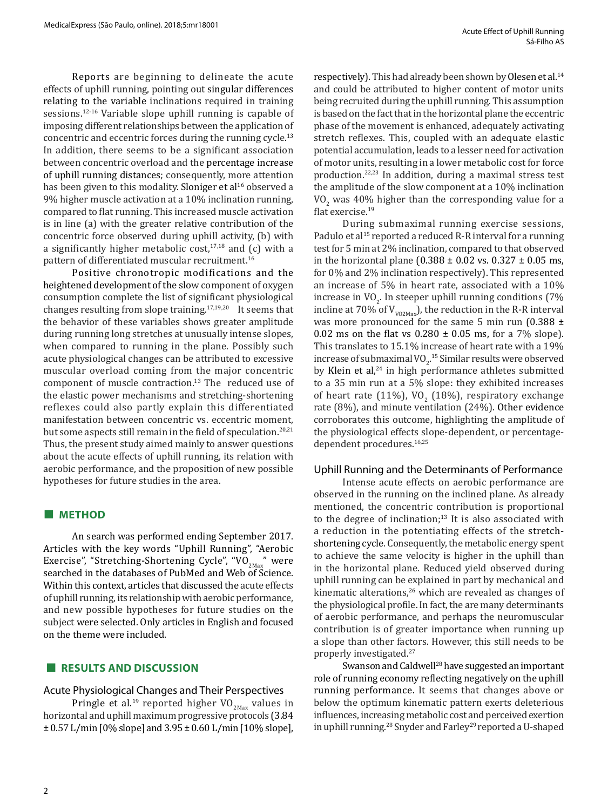Reports are beginning to delineate the acute effects of uphill running, pointing out singular differences relating to the variable inclinations required in training sessions.<sup>12-16</sup> Variable slope uphill running is capable of imposing different relationships between the application of concentric and eccentric forces during the running cycle.<sup>13</sup> In addition, there seems to be a significant association between concentric overload and the percentage increase of uphill running distances; consequently, more attention has been given to this modality. Sloniger et al<sup>16</sup> observed a 9% higher muscle activation at a 10% inclination running, compared to flat running. This increased muscle activation is in line (a) with the greater relative contribution of the concentric force observed during uphill activity, (b) with a significantly higher metabolic cost, $17,18$  and (c) with a pattern of differentiated muscular recruitment.<sup>16</sup>

Positive chronotropic modifications and the heightened development of the slow component of oxygen consumption complete the list of significant physiological changes resulting from slope training.17,19,20 It seems that the behavior of these variables shows greater amplitude during running long stretches at unusually intense slopes, when compared to running in the plane. Possibly such acute physiological changes can be attributed to excessive muscular overload coming from the major concentric component of muscle contraction.<sup>13</sup> The reduced use of the elastic power mechanisms and stretching-shortening reflexes could also partly explain this differentiated manifestation between concentric vs. eccentric moment, but some aspects still remain in the field of speculation.<sup>20,21</sup> Thus, the present study aimed mainly to answer questions about the acute effects of uphill running, its relation with aerobic performance, and the proposition of new possible hypotheses for future studies in the area.

#### **■ METHOD**

An search was performed ending September 2017. Articles with the key words "Uphill Running", "Aerobic Exercise", "Stretching-Shortening Cycle", "VO<sub>2Max</sub>" were searched in the databases of PubMed and Web of Science. Within this context, articles that discussed the acute effects of uphill running, its relationship with aerobic performance, and new possible hypotheses for future studies on the subject were selected. Only articles in English and focused on the theme were included.

## **■ RESULTS AND DISCUSSION**

#### Acute Physiological Changes and Their Perspectives

Pringle et al.<sup>19</sup> reported higher  $VO_{2Max}$  values in horizontal and uphill maximum progressive protocols (3.84 ± 0.57 L/min [0% slope] and 3.95 ± 0.60 L/min [10% slope], respectively). This had already been shown by Olesen et al.<sup>14</sup> and could be attributed to higher content of motor units being recruited during the uphill running. This assumption is based on the fact that in the horizontal plane the eccentric phase of the movement is enhanced, adequately activating stretch reflexes. This, coupled with an adequate elastic potential accumulation, leads to a lesser need for activation of motor units, resulting in a lower metabolic cost for force production.22,23 In addition, during a maximal stress test the amplitude of the slow component at a 10% inclination  $VO<sub>2</sub>$  was 40% higher than the corresponding value for a flat exercise.19

During submaximal running exercise sessions, Padulo et al<sup>15</sup> reported a reduced R-R interval for a running test for 5 min at 2% inclination, compared to that observed in the horizontal plane (0.388  $\pm$  0.02 vs. 0.327  $\pm$  0.05 ms, for 0% and 2% inclination respectively). This represented an increase of 5% in heart rate, associated with a 10% increase in  $VO<sub>2</sub>$ . In steeper uphill running conditions (7%) incline at 70% of  $V_{\text{vo2Max}}$ , the reduction in the R-R interval was more pronounced for the same 5 min run  $(0.388 \pm$ 0.02 ms on the flat vs  $0.280 \pm 0.05$  ms, for a 7% slope). This translates to 15.1% increase of heart rate with a 19% increase of submaximal  $\text{VO}_2$ <sup>15</sup> Similar results were observed by Klein et al,<sup>24</sup> in high performance athletes submitted to a 35 min run at a 5% slope: they exhibited increases of heart rate  $(11\%)$ , VO<sub>2</sub> (18%), respiratory exchange rate (8%), and minute ventilation (24%). Other evidence corroborates this outcome, highlighting the amplitude of the physiological effects slope-dependent, or percentagedependent procedures.<sup>16,25</sup>

#### Uphill Running and the Determinants of Performance

Intense acute effects on aerobic performance are observed in the running on the inclined plane. As already mentioned, the concentric contribution is proportional to the degree of inclination; $13$  It is also associated with a reduction in the potentiating effects of the stretchshortening cycle. Consequently, the metabolic energy spent to achieve the same velocity is higher in the uphill than in the horizontal plane. Reduced yield observed during uphill running can be explained in part by mechanical and kinematic alterations,<sup>26</sup> which are revealed as changes of the physiological profile. In fact, the are many determinants of aerobic performance, and perhaps the neuromuscular contribution is of greater importance when running up a slope than other factors. However, this still needs to be properly investigated. 27

Swanson and Caldwell<sup>28</sup> have suggested an important role of running economy reflecting negatively on the uphill running performance. It seems that changes above or below the optimum kinematic pattern exerts deleterious influences, increasing metabolic cost and perceived exertion in uphill running.<sup>28</sup> Snyder and Farley<sup>29</sup> reported a U-shaped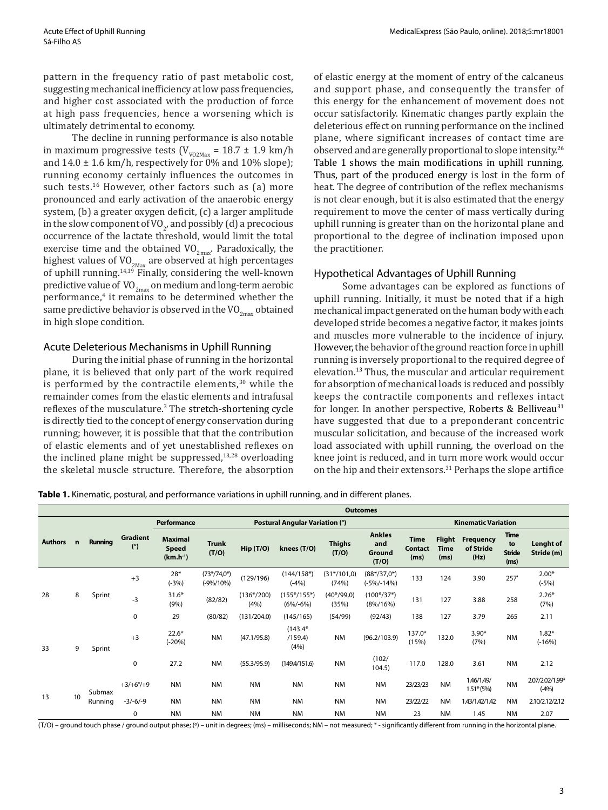pattern in the frequency ratio of past metabolic cost, suggesting mechanical inefficiency at low pass frequencies, and higher cost associated with the production of force at high pass frequencies, hence a worsening which is ultimately detrimental to economy.

The decline in running performance is also notable in maximum progressive tests ( $V_{V02Max}$  = 18.7 ± 1.9 km/h and  $14.0 \pm 1.6$  km/h, respectively for 0% and 10% slope); running economy certainly influences the outcomes in such tests.<sup>16</sup> However, other factors such as (a) more pronounced and early activation of the anaerobic energy system, (b) a greater oxygen deficit, (c) a larger amplitude in the slow component of VO<sub>2</sub>, and possibly (d) a precocious occurrence of the lactate threshold, would limit the total exercise time and the obtained  $VO_{2max}$ . Paradoxically, the highest values of  $VO_{2Max}$  are observed at high percentages of uphill running.14,19 Finally, considering the well-known predictive value of  $VO_{2max}$  on medium and long-term aerobic performance,<sup>4</sup> it remains to be determined whether the same predictive behavior is observed in the VO<sub>2max</sub> obtained in high slope condition.

#### Acute Deleterious Mechanisms in Uphill Running

During the initial phase of running in the horizontal plane, it is believed that only part of the work required is performed by the contractile elements,<sup>30</sup> while the remainder comes from the elastic elements and intrafusal reflexes of the musculature.<sup>3</sup> The stretch-shortening cycle is directly tied to the concept of energy conservation during running; however, it is possible that that the contribution of elastic elements and of yet unestablished reflexes on the inclined plane might be suppressed, $13,28$  overloading the skeletal muscle structure. Therefore, the absorption

of elastic energy at the moment of entry of the calcaneus and support phase, and consequently the transfer of this energy for the enhancement of movement does not occur satisfactorily. Kinematic changes partly explain the deleterious effect on running performance on the inclined plane, where significant increases of contact time are observed and are generally proportional to slope intensity.<sup>26</sup> Table 1 shows the main modifications in uphill running. Thus, part of the produced energy is lost in the form of heat. The degree of contribution of the reflex mechanisms is not clear enough, but it is also estimated that the energy requirement to move the center of mass vertically during uphill running is greater than on the horizontal plane and proportional to the degree of inclination imposed upon the practitioner.

#### Hypothetical Advantages of Uphill Running

Some advantages can be explored as functions of uphill running. Initially, it must be noted that if a high mechanical impact generated on the human body with each developed stride becomes a negative factor, it makes joints and muscles more vulnerable to the incidence of injury. However, the behavior of the ground reaction force in uphill running is inversely proportional to the required degree of elevation.<sup>13</sup> Thus, the muscular and articular requirement for absorption of mechanical loads is reduced and possibly keeps the contractile components and reflexes intact for longer. In another perspective, Roberts & Belliveau<sup>31</sup> have suggested that due to a preponderant concentric muscular solicitation, and because of the increased work load associated with uphill running, the overload on the knee joint is reduced, and in turn more work would occur on the hip and their extensors.<sup>31</sup> Perhaps the slope artifice

**Table 1.** Kinematic, postural, and performance variations in uphill running, and in different planes.

|                |             |                   |                 | <b>Outcomes</b>                                 |                                |                                                  |                               |                        |                                         |                                       |                                      |                                       |                                            |                            |
|----------------|-------------|-------------------|-----------------|-------------------------------------------------|--------------------------------|--------------------------------------------------|-------------------------------|------------------------|-----------------------------------------|---------------------------------------|--------------------------------------|---------------------------------------|--------------------------------------------|----------------------------|
|                |             |                   |                 | Performance                                     | Postural Angular Variation (°) |                                                  |                               |                        |                                         |                                       | <b>Kinematic Variation</b>           |                                       |                                            |                            |
| <b>Authors</b> | $\mathbf n$ | Running           | Gradient<br>(°) | <b>Maximal</b><br><b>Speed</b><br>$(km.h^{-1})$ | <b>Trunk</b><br>(T/O)          | $\mathsf{Hip}\left(\mathsf{T}/\mathsf{O}\right)$ | knees (T/O)                   | <b>Thighs</b><br>(T/O) | <b>Ankles</b><br>and<br>Ground<br>(T/O) | <b>Time</b><br><b>Contact</b><br>(ms) | <b>Flight</b><br><b>Time</b><br>(ms) | <b>Frequency</b><br>of Stride<br>(Hz) | <b>Time</b><br>to<br><b>Stride</b><br>(ms) | Lenght of<br>Stride (m)    |
| 28             | 8           | Sprint            | $+3$            | $28*$<br>$(-3%)$                                | $(73*/74,0*)$<br>$(-9% / 10%)$ | (129/196)                                        | $(144/158*)$<br>$(-4%)$       | $(31*/101,0)$<br>(74%) | $(88*/37,0*)$<br>(-5%/-14%)             | 133                                   | 124                                  | 3.90                                  | 257                                        | $2.00*$<br>$(-5%)$         |
|                |             |                   | $-3$            | $31.6*$<br>(9% )                                | (82/82)                        | $(136*/200)$<br>(4%)                             | (155*/155*)<br>$(6\%/6\%)$    | $(40*/99,0)$<br>(35%)  | $(100*/37*)$<br>$(8\%/16\%)$            | 131                                   | 127                                  | 3.88                                  | 258                                        | $2.26*$<br>(7%)            |
|                |             |                   | $\mathbf 0$     | 29                                              | (80/82)                        | (131/204.0)                                      | (145/165)                     | (54/99)                | (92/43)                                 | 138                                   | 127                                  | 3.79                                  | 265                                        | 2.11                       |
| 33             | 9           | Sprint            | $+3$            | $22.6*$<br>$(-20%)$                             | <b>NM</b>                      | (47.1/95.8)                                      | $(143.4*)$<br>/159.4)<br>(4%) | <b>NM</b>              | (96.2/103.9)                            | 137.0*<br>(15%)                       | 132.0                                | $3.90*$<br>(7%)                       | <b>NM</b>                                  | $1.82*$<br>$(-16%)$        |
|                |             |                   | 0               | 27.2                                            | <b>NM</b>                      | (55.3/95.9)                                      | (149.4/151.6)                 | <b>NM</b>              | (102/<br>104.5)                         | 117.0                                 | 128.0                                | 3.61                                  | <b>NM</b>                                  | 2.12                       |
| 13             | 10          | Submax<br>Running | $+3/+6°/+9$     | <b>NM</b>                                       | <b>NM</b>                      | <b>NM</b>                                        | <b>NM</b>                     | <b>NM</b>              | <b>NM</b>                               | 23/23/23                              | <b>NM</b>                            | 1.46/1.49/<br>$1.51*(5%)$             | <b>NM</b>                                  | 2.07/2.02/1.99*<br>$(-4%)$ |
|                |             |                   | $-3/-6/-9$      | <b>NM</b>                                       | <b>NM</b>                      | <b>NM</b>                                        | <b>NM</b>                     | <b>NM</b>              | <b>NM</b>                               | 23/22/22                              | <b>NM</b>                            | 1.43/1.42/1.42                        | <b>NM</b>                                  | 2.10/2.12/2.12             |
|                |             |                   | 0               | <b>NM</b>                                       | <b>NM</b>                      | <b>NM</b>                                        | <b>NM</b>                     | <b>NM</b>              | <b>NM</b>                               | 23                                    | <b>NM</b>                            | 1.45                                  | <b>NM</b>                                  | 2.07                       |

(T/O) – ground touch phase / ground output phase; (º) – unit in degrees; (ms) – milliseconds; NM – not measured; \* - significantly different from running in the horizontal plane.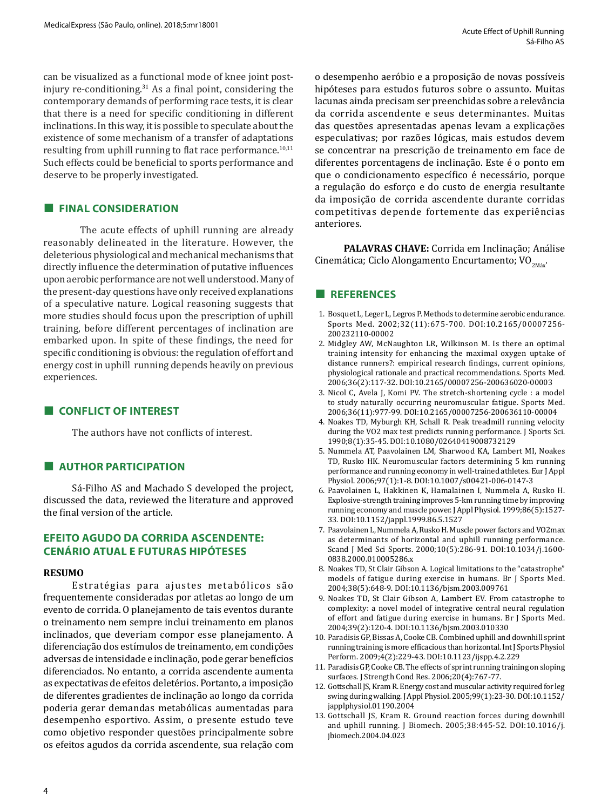can be visualized as a functional mode of knee joint postinjury re-conditioning.<sup>31</sup> As a final point, considering the contemporary demands of performing race tests, it is clear that there is a need for specific conditioning in different inclinations. In this way, it is possible to speculate about the existence of some mechanism of a transfer of adaptations resulting from uphill running to flat race performance. $10,11$ Such effects could be beneficial to sports performance and deserve to be properly investigated.

# **■ FINAL CONSIDERATION**

The acute effects of uphill running are already reasonably delineated in the literature. However, the deleterious physiological and mechanical mechanisms that directly influence the determination of putative influences upon aerobic performance are not well understood. Many of the present-day questions have only received explanations of a speculative nature. Logical reasoning suggests that more studies should focus upon the prescription of uphill training, before different percentages of inclination are embarked upon. In spite of these findings, the need for specific conditioning is obvious: the regulation of effort and energy cost in uphill running depends heavily on previous experiences.

# **■ CONFLICT OF INTEREST**

The authors have not conflicts of interest.

# **■ AUTHOR PARTICIPATION**

Sá-Filho AS and Machado S developed the project, discussed the data, reviewed the literature and approved the final version of the article.

## **EFEITO AGUDO DA CORRIDA ASCENDENTE: CENÁRIO ATUAL E FUTURAS HIPÓTESES**

#### **RESUMO**

Estratégias para ajustes metabólicos são frequentemente consideradas por atletas ao longo de um evento de corrida. O planejamento de tais eventos durante o treinamento nem sempre inclui treinamento em planos inclinados, que deveriam compor esse planejamento. A diferenciação dos estímulos de treinamento, em condições adversas de intensidade e inclinação, pode gerar benefícios diferenciados. No entanto, a corrida ascendente aumenta as expectativas de efeitos deletérios. Portanto, a imposição de diferentes gradientes de inclinação ao longo da corrida poderia gerar demandas metabólicas aumentadas para desempenho esportivo. Assim, o presente estudo teve como objetivo responder questões principalmente sobre os efeitos agudos da corrida ascendente, sua relação com

o desempenho aeróbio e a proposição de novas possíveis hipóteses para estudos futuros sobre o assunto. Muitas lacunas ainda precisam ser preenchidas sobre a relevância da corrida ascendente e seus determinantes. Muitas das questões apresentadas apenas levam a explicações especulativas; por razões lógicas, mais estudos devem se concentrar na prescrição de treinamento em face de diferentes porcentagens de inclinação. Este é o ponto em que o condicionamento específico é necessário, porque a regulação do esforço e do custo de energia resultante da imposição de corrida ascendente durante corridas competitivas depende fortemente das experiências anteriores.

**PALAVRAS CHAVE:** Corrida em Inclinação; Análise Cinemática; Ciclo Alongamento Encurtamento; VO<sub>2Máx</sub>.

# **■ REFERENCES**

- 1. Bosquet L, Leger L, Legros P. Methods to determine aerobic endurance. Sports Med. 2002;32(11):675-700. DOI:10.2165/00007256- 200232110-00002
- 2. Midgley AW, McNaughton LR, Wilkinson M. Is there an optimal training intensity for enhancing the maximal oxygen uptake of distance runners?: empirical research findings, current opinions, physiological rationale and practical recommendations. Sports Med. 2006;36(2):117-32. DOI:10.2165/00007256-200636020-00003
- 3. Nicol C, Avela J, Komi PV. The stretch-shortening cycle : a model to study naturally occurring neuromuscular fatigue. Sports Med. 2006;36(11):977-99. DOI:10.2165/00007256-200636110-00004
- 4. Noakes TD, Myburgh KH, Schall R. Peak treadmill running velocity during the VO2 max test predicts running performance. J Sports Sci. 1990;8(1):35-45. DOI:10.1080/02640419008732129
- 5. Nummela AT, Paavolainen LM, Sharwood KA, Lambert MI, Noakes TD, Rusko HK. Neuromuscular factors determining 5 km running performance and running economy in well-trained athletes. Eur J Appl Physiol. 2006;97(1):1-8. DOI:10.1007/s00421-006-0147-3
- 6. Paavolainen L, Hakkinen K, Hamalainen I, Nummela A, Rusko H. Explosive-strength training improves 5-km running time by improving running economy and muscle power. J Appl Physiol. 1999;86(5):1527- 33. DOI:10.1152/jappl.1999.86.5.1527
- 7. Paavolainen L, Nummela A, Rusko H. Muscle power factors and VO2max as determinants of horizontal and uphill running performance. Scand J Med Sci Sports. 2000;10(5):286-91. DOI:10.1034/j.1600- 0838.2000.010005286.x
- 8. Noakes TD, St Clair Gibson A. Logical limitations to the "catastrophe" models of fatigue during exercise in humans. Br J Sports Med. 2004;38(5):648-9. DOI:10.1136/bjsm.2003.009761
- 9. Noakes TD, St Clair Gibson A, Lambert EV. From catastrophe to complexity: a novel model of integrative central neural regulation of effort and fatigue during exercise in humans. Br J Sports Med. 2004;39(2):120-4. DOI:10.1136/bjsm.2003.010330
- 10. Paradisis GP, Bissas A, Cooke CB. Combined uphill and downhill sprint running training is more efficacious than horizontal. Int J Sports Physiol Perform. 2009;4(2):229-43. DOI:10.1123/ijspp.4.2.229
- 11. Paradisis GP, Cooke CB. The effects of sprint running training on sloping surfaces. J Strength Cond Res. 2006;20(4):767-77.
- 12. Gottschall JS, Kram R. Energy cost and muscular activity required for leg swing during walking. J Appl Physiol. 2005;99(1):23-30. DOI:10.1152/ japplphysiol.01190.2004
- 13. Gottschall JS, Kram R. Ground reaction forces during downhill and uphill running. J Biomech. 2005;38:445-52. DOI:10.1016/j. jbiomech.2004.04.023